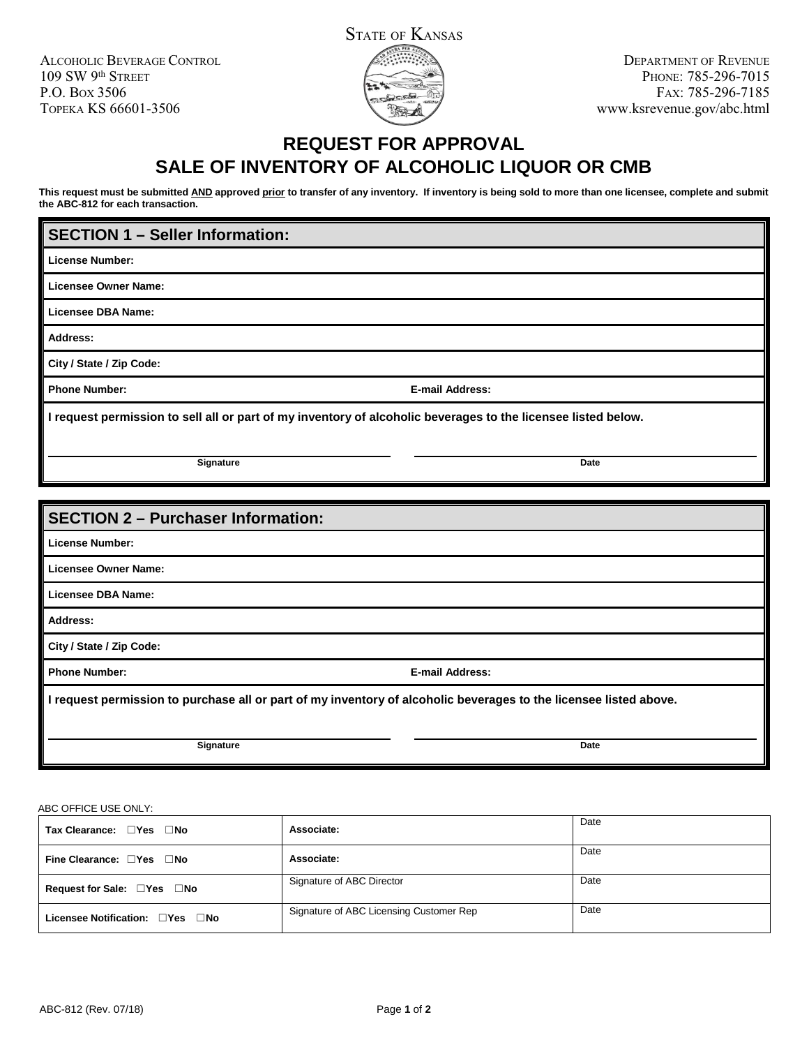ALCOHOLIC BEVERAGE CONTROL 109 SW 9th STREET P.O. BOX 3506 TOPEKA KS 66601-3506



## **REQUEST FOR APPROVAL SALE OF INVENTORY OF ALCOHOLIC LIQUOR OR CMB**

**This request must be submitted AND approved prior to transfer of any inventory. If inventory is being sold to more than one licensee, complete and submit the ABC-812 for each transaction.**

## **SECTION 1 – Seller Information:**

**License Number:**

**Licensee Owner Name:**

**Licensee DBA Name:**

**Address:**

**City / State / Zip Code:**

**Phone Number: E-mail Address:**

**I request permission to sell all or part of my inventory of alcoholic beverages to the licensee listed below.**

**Signature** Date

| <b>SECTION 2 - Purchaser Information:</b>                                                                         |                        |  |  |
|-------------------------------------------------------------------------------------------------------------------|------------------------|--|--|
|                                                                                                                   |                        |  |  |
| <b>License Number:</b>                                                                                            |                        |  |  |
| Licensee Owner Name:                                                                                              |                        |  |  |
| Licensee DBA Name:                                                                                                |                        |  |  |
| Address:                                                                                                          |                        |  |  |
| City / State / Zip Code:                                                                                          |                        |  |  |
| <b>Phone Number:</b>                                                                                              | <b>E-mail Address:</b> |  |  |
| I request permission to purchase all or part of my inventory of alcoholic beverages to the licensee listed above. |                        |  |  |
| Signature                                                                                                         | <b>Date</b>            |  |  |

ABC OFFICE USE ONLY:

| Tax Clearance: □Yes □No         | Associate:                              | Date |
|---------------------------------|-----------------------------------------|------|
| Fine Clearance: □Yes □No        | Associate:                              | Date |
| Request for Sale: □Yes □No      | Signature of ABC Director               | Date |
| Licensee Notification: □Yes □No | Signature of ABC Licensing Customer Rep | Date |